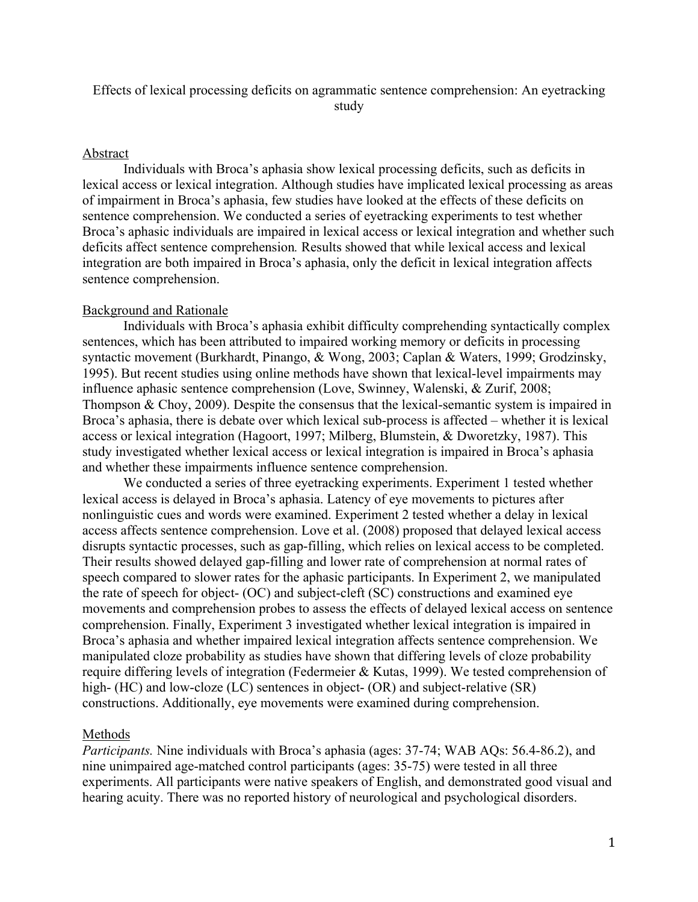# Effects of lexical processing deficits on agrammatic sentence comprehension: An eyetracking study

#### Abstract

Individuals with Broca's aphasia show lexical processing deficits, such as deficits in lexical access or lexical integration. Although studies have implicated lexical processing as areas of impairment in Broca's aphasia, few studies have looked at the effects of these deficits on sentence comprehension. We conducted a series of eyetracking experiments to test whether Broca's aphasic individuals are impaired in lexical access or lexical integration and whether such deficits affect sentence comprehension*.* Results showed that while lexical access and lexical integration are both impaired in Broca's aphasia, only the deficit in lexical integration affects sentence comprehension.

#### Background and Rationale

Individuals with Broca's aphasia exhibit difficulty comprehending syntactically complex sentences, which has been attributed to impaired working memory or deficits in processing syntactic movement (Burkhardt, Pinango, & Wong, 2003; Caplan & Waters, 1999; Grodzinsky, 1995). But recent studies using online methods have shown that lexical-level impairments may influence aphasic sentence comprehension (Love, Swinney, Walenski, & Zurif, 2008; Thompson & Choy, 2009). Despite the consensus that the lexical-semantic system is impaired in Broca's aphasia, there is debate over which lexical sub-process is affected – whether it is lexical access or lexical integration (Hagoort, 1997; Milberg, Blumstein, & Dworetzky, 1987). This study investigated whether lexical access or lexical integration is impaired in Broca's aphasia and whether these impairments influence sentence comprehension.

We conducted a series of three eyetracking experiments. Experiment 1 tested whether lexical access is delayed in Broca's aphasia. Latency of eye movements to pictures after nonlinguistic cues and words were examined. Experiment 2 tested whether a delay in lexical access affects sentence comprehension. Love et al. (2008) proposed that delayed lexical access disrupts syntactic processes, such as gap-filling, which relies on lexical access to be completed. Their results showed delayed gap-filling and lower rate of comprehension at normal rates of speech compared to slower rates for the aphasic participants. In Experiment 2, we manipulated the rate of speech for object- (OC) and subject-cleft (SC) constructions and examined eye movements and comprehension probes to assess the effects of delayed lexical access on sentence comprehension. Finally, Experiment 3 investigated whether lexical integration is impaired in Broca's aphasia and whether impaired lexical integration affects sentence comprehension. We manipulated cloze probability as studies have shown that differing levels of cloze probability require differing levels of integration (Federmeier & Kutas, 1999). We tested comprehension of high- (HC) and low-cloze (LC) sentences in object- (OR) and subject-relative (SR) constructions. Additionally, eye movements were examined during comprehension.

### Methods

*Participants.* Nine individuals with Broca's aphasia (ages: 37-74; WAB AQs: 56.4-86.2), and nine unimpaired age-matched control participants (ages: 35-75) were tested in all three experiments. All participants were native speakers of English, and demonstrated good visual and hearing acuity. There was no reported history of neurological and psychological disorders.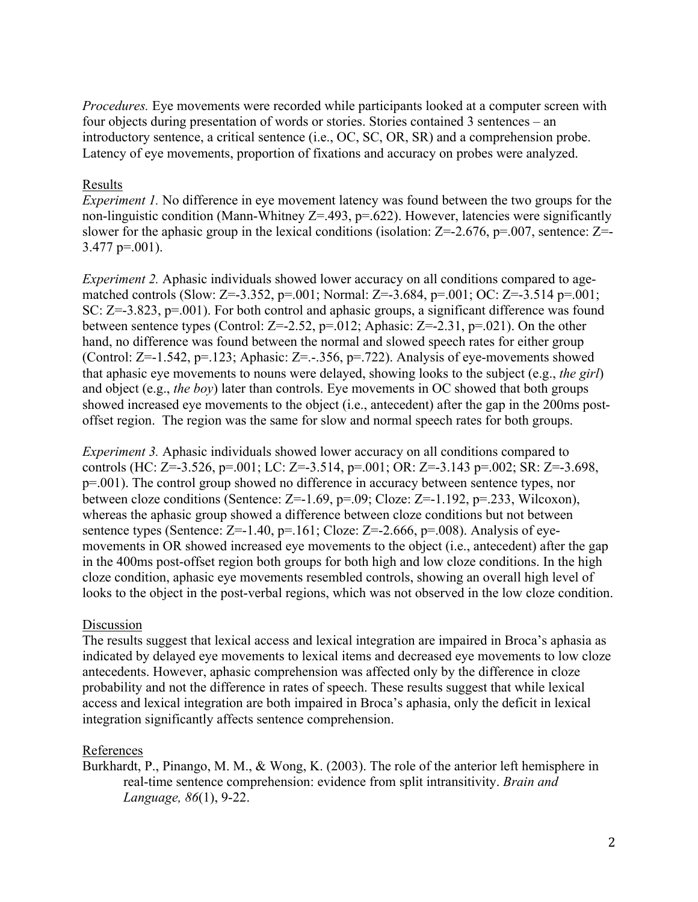*Procedures.* Eye movements were recorded while participants looked at a computer screen with four objects during presentation of words or stories. Stories contained 3 sentences – an introductory sentence, a critical sentence (i.e., OC, SC, OR, SR) and a comprehension probe. Latency of eye movements, proportion of fixations and accuracy on probes were analyzed.

# Results

*Experiment 1.* No difference in eye movement latency was found between the two groups for the non-linguistic condition (Mann-Whitney  $Z = .493$ ,  $p = .622$ ). However, latencies were significantly slower for the aphasic group in the lexical conditions (isolation:  $Z = -2.676$ ,  $p = .007$ , sentence:  $Z = -1.676$  $3.477$  p=.001).

*Experiment 2.* Aphasic individuals showed lower accuracy on all conditions compared to agematched controls (Slow: Z=-3.352, p=.001; Normal: Z=-3.684, p=.001; OC: Z=-3.514 p=.001; SC: Z=-3.823, p=.001). For both control and aphasic groups, a significant difference was found between sentence types (Control:  $Z = -2.52$ ,  $p = .012$ ; Aphasic:  $Z = -2.31$ ,  $p = .021$ ). On the other hand, no difference was found between the normal and slowed speech rates for either group (Control: Z=-1.542, p=.123; Aphasic: Z=.-.356, p=.722). Analysis of eye-movements showed that aphasic eye movements to nouns were delayed, showing looks to the subject (e.g., *the girl*) and object (e.g., *the boy*) later than controls. Eye movements in OC showed that both groups showed increased eye movements to the object (i.e., antecedent) after the gap in the 200ms postoffset region. The region was the same for slow and normal speech rates for both groups.

*Experiment 3.* Aphasic individuals showed lower accuracy on all conditions compared to controls (HC: Z=-3.526, p=.001; LC: Z=-3.514, p=.001; OR: Z=-3.143 p=.002; SR: Z=-3.698, p=.001). The control group showed no difference in accuracy between sentence types, nor between cloze conditions (Sentence:  $Z=1.69$ ,  $p=.09$ ; Cloze:  $Z=-1.192$ ,  $p=.233$ , Wilcoxon), whereas the aphasic group showed a difference between cloze conditions but not between sentence types (Sentence:  $Z=-1.40$ ,  $p=.161$ ; Cloze:  $Z=-2.666$ ,  $p=.008$ ). Analysis of eyemovements in OR showed increased eye movements to the object (i.e., antecedent) after the gap in the 400ms post-offset region both groups for both high and low cloze conditions. In the high cloze condition, aphasic eye movements resembled controls, showing an overall high level of looks to the object in the post-verbal regions, which was not observed in the low cloze condition.

## Discussion

The results suggest that lexical access and lexical integration are impaired in Broca's aphasia as indicated by delayed eye movements to lexical items and decreased eye movements to low cloze antecedents. However, aphasic comprehension was affected only by the difference in cloze probability and not the difference in rates of speech. These results suggest that while lexical access and lexical integration are both impaired in Broca's aphasia, only the deficit in lexical integration significantly affects sentence comprehension.

## References

Burkhardt, P., Pinango, M. M., & Wong, K. (2003). The role of the anterior left hemisphere in real-time sentence comprehension: evidence from split intransitivity. *Brain and Language, 86*(1), 9-22.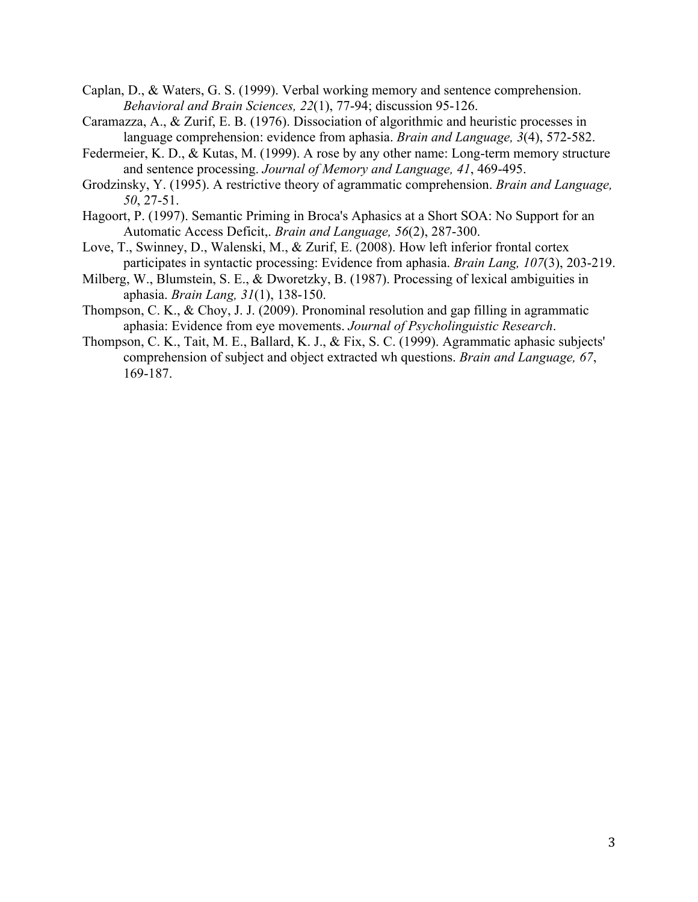- Caplan, D., & Waters, G. S. (1999). Verbal working memory and sentence comprehension. *Behavioral and Brain Sciences, 22*(1), 77-94; discussion 95-126.
- Caramazza, A., & Zurif, E. B. (1976). Dissociation of algorithmic and heuristic processes in language comprehension: evidence from aphasia. *Brain and Language, 3*(4), 572-582.
- Federmeier, K. D., & Kutas, M. (1999). A rose by any other name: Long-term memory structure and sentence processing. *Journal of Memory and Language, 41*, 469-495.
- Grodzinsky, Y. (1995). A restrictive theory of agrammatic comprehension. *Brain and Language, 50*, 27-51.
- Hagoort, P. (1997). Semantic Priming in Broca's Aphasics at a Short SOA: No Support for an Automatic Access Deficit,. *Brain and Language, 56*(2), 287-300.
- Love, T., Swinney, D., Walenski, M., & Zurif, E. (2008). How left inferior frontal cortex participates in syntactic processing: Evidence from aphasia. *Brain Lang, 107*(3), 203-219.
- Milberg, W., Blumstein, S. E., & Dworetzky, B. (1987). Processing of lexical ambiguities in aphasia. *Brain Lang, 31*(1), 138-150.
- Thompson, C. K., & Choy, J. J. (2009). Pronominal resolution and gap filling in agrammatic aphasia: Evidence from eye movements. *Journal of Psycholinguistic Research*.
- Thompson, C. K., Tait, M. E., Ballard, K. J., & Fix, S. C. (1999). Agrammatic aphasic subjects' comprehension of subject and object extracted wh questions. *Brain and Language, 67*, 169-187.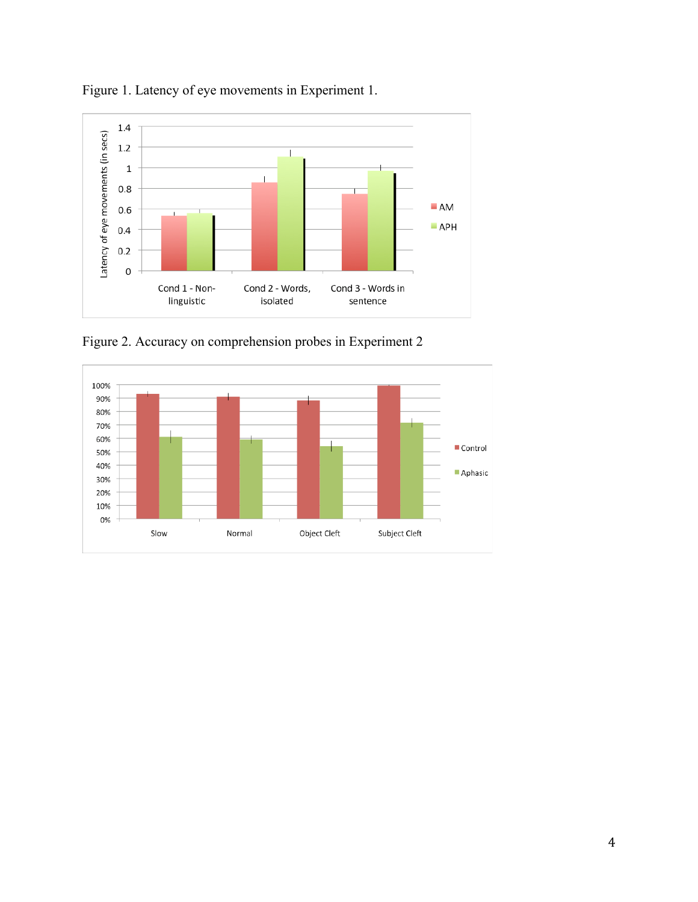

Figure 1. Latency of eye movements in Experiment 1.

Figure 2. Accuracy on comprehension probes in Experiment 2

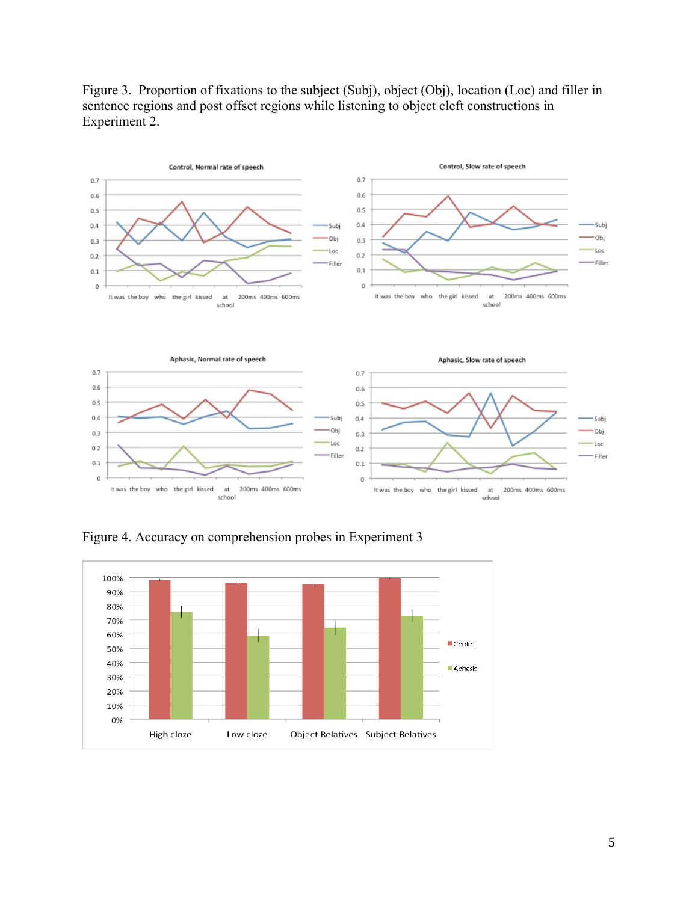

Figure 3. Proportion of fixations to the subject (Subj), object (Obj), location (Loc) and filler in sentence regions and post offset regions while listening to object cleft constructions in Experiment 2.

Figure 4. Accuracy on comprehension probes in Experiment 3